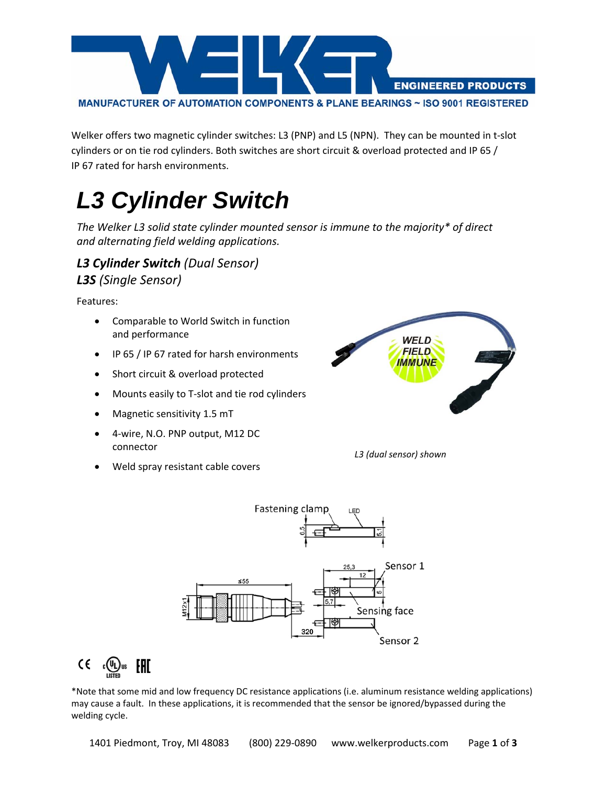

Welker offers two magnetic cylinder switches: L3 (PNP) and L5 (NPN). They can be mounted in t‐slot cylinders or on tie rod cylinders. Both switches are short circuit & overload protected and IP 65 / IP 67 rated for harsh environments.

## *L3 Cylinder Switch*

*The Welker L3 solid state cylinder mounted sensor is immune to the majority\* of direct and alternating field welding applications.* 

## *L3 Cylinder Switch (Dual Sensor) L3S (Single Sensor)*

Features:

- Comparable to World Switch in function and performance
- IP 65 / IP 67 rated for harsh environments
- Short circuit & overload protected
- Mounts easily to T-slot and tie rod cylinders
- Magnetic sensitivity 1.5 mT
- 4‐wire, N.O. PNP output, M12 DC connector
- Weld spray resistant cable covers



*L3 (dual sensor) shown* 



 $C \in C$   $\mathbb{Q}$   $\mathbb{Q}$   $\mathbb{Z}$   $\mathbb{Z}$   $\mathbb{Z}$   $\mathbb{Z}$   $\mathbb{Z}$   $\mathbb{Z}$   $\mathbb{Z}$   $\mathbb{Z}$   $\mathbb{Z}$   $\mathbb{Z}$   $\mathbb{Z}$   $\mathbb{Z}$   $\mathbb{Z}$   $\mathbb{Z}$   $\mathbb{Z}$   $\mathbb{Z}$   $\mathbb{Z}$   $\mathbb{Z}$   $\mathbb{Z}$   $\mathbb{Z}$   $\mathbb{Z}$   $\mathbb{Z}$ 

\*Note that some mid and low frequency DC resistance applications (i.e. aluminum resistance welding applications) may cause a fault. In these applications, it is recommended that the sensor be ignored/bypassed during the welding cycle.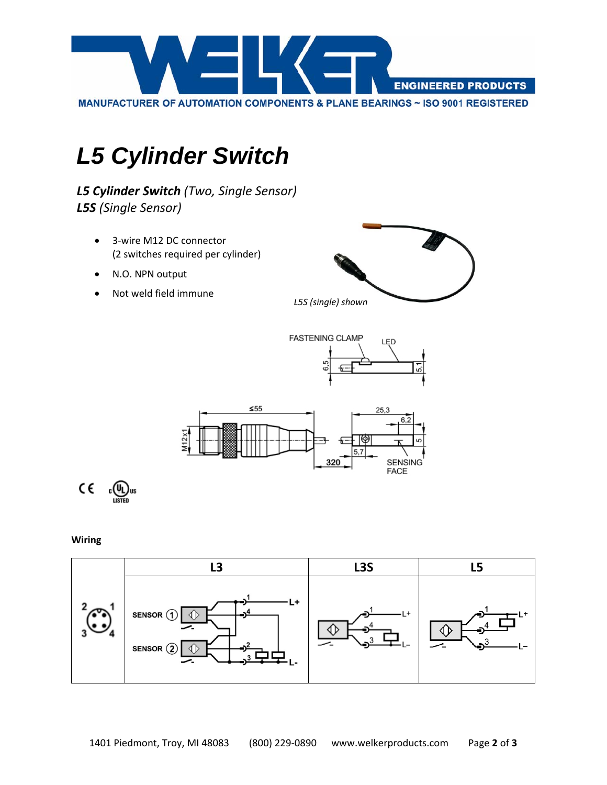

## *L5 Cylinder Switch*

*L5 Cylinder Switch (Two, Single Sensor) L5S (Single Sensor)*

- 3-wire M12 DC connector (2 switches required per cylinder)
- N.O. NPN output
- Not weld field immune









**Wiring**